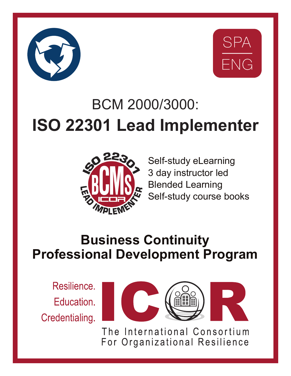



# BCM 2000/3000: **ISO 22301 Lead Implementer**



Self-study eLearning 3 day instructor led Blended Learning Self-study course books

## **Business Continuity Professional Development Program**

Resilience. Education. Credentialing.



The International Consortium For Organizational Resilience